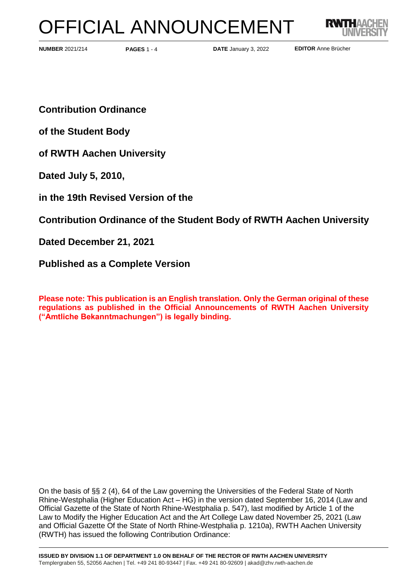# OFFICIAL ANNOUNCEMENT



**PAGES** 1 - 4 **DATE** January 3, 2022 **NUMBER** 2021/214 **EDITOR** Anne Brücher

**Contribution Ordinance**

**of the Student Body**

**of RWTH Aachen University**

**Dated July 5, 2010,**

**in the 19th Revised Version of the**

**Contribution Ordinance of the Student Body of RWTH Aachen University**

**Dated December 21, 2021**

**Published as a Complete Version**

**Please note: This publication is an English translation. Only the German original of these regulations as published in the Official Announcements of RWTH Aachen University ("Amtliche Bekanntmachungen") is legally binding.**

On the basis of §§ 2 (4), 64 of the Law governing the Universities of the Federal State of North Rhine-Westphalia (Higher Education Act – HG) in the version dated September 16, 2014 (Law and Official Gazette of the State of North Rhine-Westphalia p. 547), last modified by Article 1 of the Law to Modify the Higher Education Act and the Art College Law dated November 25, 2021 (Law and Official Gazette Of the State of North Rhine-Westphalia p. 1210a), RWTH Aachen University (RWTH) has issued the following Contribution Ordinance: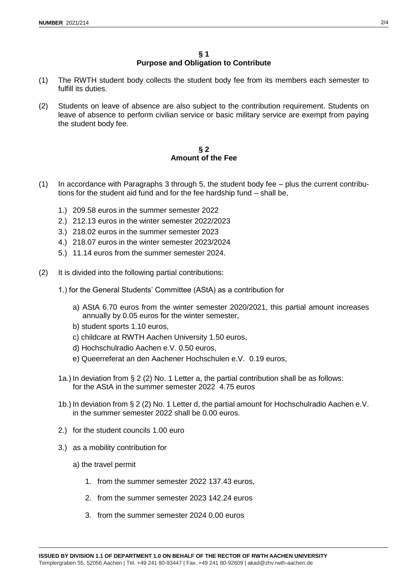### **§ 1 Purpose and Obligation to Contribute**

- (1) The RWTH student body collects the student body fee from its members each semester to fulfill its duties.
- (2) Students on leave of absence are also subject to the contribution requirement. Students on leave of absence to perform civilian service or basic military service are exempt from paying the student body fee.

## **§ 2 Amount of the Fee**

- (1) In accordance with Paragraphs 3 through 5, the student body fee plus the current contributions for the student aid fund and for the fee hardship fund – shall be,
	- 1.) 209.58 euros in the summer semester 2022
	- 2.) 212.13 euros in the winter semester 2022/2023
	- 3.) 218.02 euros in the summer semester 2023
	- 4.) 218.07 euros in the winter semester 2023/2024
	- 5.) 11.14 euros from the summer semester 2024.
- (2) It is divided into the following partial contributions:
	- 1.) for the General Students' Committee (AStA) as a contribution for
		- a) AStA 6.70 euros from the winter semester 2020/2021, this partial amount increases annually by 0.05 euros for the winter semester,
		- b) student sports 1.10 euros,
		- c) childcare at RWTH Aachen University 1.50 euros,
		- d) Hochschulradio Aachen e.V. 0.50 euros,
		- e) Queerreferat an den Aachener Hochschulen e.V. 0.19 euros,
	- 1a.) In deviation from § 2 (2) No. 1 Letter a, the partial contribution shall be as follows: for the AStA in the summer semester 2022 4.75 euros
	- 1b.) In deviation from § 2 (2) No. 1 Letter d, the partial amount for Hochschulradio Aachen e.V. in the summer semester 2022 shall be 0.00 euros.
	- 2.) for the student councils 1.00 euro
	- 3.) as a mobility contribution for
		- a) the travel permit
			- 1. from the summer semester 2022 137.43 euros,
			- 2. from the summer semester 2023 142.24 euros
			- 3. from the summer semester 2024 0.00 euros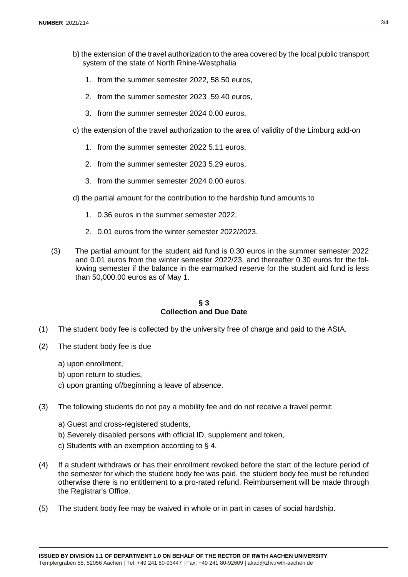- b) the extension of the travel authorization to the area covered by the local public transport system of the state of North Rhine-Westphalia
	- 1. from the summer semester 2022, 58.50 euros,
	- 2. from the summer semester 2023 59.40 euros,
	- 3. from the summer semester 2024 0.00 euros,
- c) the extension of the travel authorization to the area of validity of the Limburg add-on
	- 1. from the summer semester 2022 5.11 euros,
	- 2. from the summer semester 2023 5.29 euros,
	- 3. from the summer semester 2024 0.00 euros.
- d) the partial amount for the contribution to the hardship fund amounts to
	- 1. 0.36 euros in the summer semester 2022,
	- 2. 0.01 euros from the winter semester 2022/2023.
- (3) The partial amount for the student aid fund is 0.30 euros in the summer semester 2022 and 0.01 euros from the winter semester 2022/23, and thereafter 0.30 euros for the following semester if the balance in the earmarked reserve for the student aid fund is less than 50,000.00 euros as of May 1.

#### **§ 3 Collection and Due Date**

- (1) The student body fee is collected by the university free of charge and paid to the AStA.
- (2) The student body fee is due
	- a) upon enrollment,
	- b) upon return to studies,
	- c) upon granting of/beginning a leave of absence.
- (3) The following students do not pay a mobility fee and do not receive a travel permit:
	- a) Guest and cross-registered students,
	- b) Severely disabled persons with official ID, supplement and token,
	- c) Students with an exemption according to § 4.
- (4) If a student withdraws or has their enrollment revoked before the start of the lecture period of the semester for which the student body fee was paid, the student body fee must be refunded otherwise there is no entitlement to a pro-rated refund. Reimbursement will be made through the Registrar's Office.
- (5) The student body fee may be waived in whole or in part in cases of social hardship.